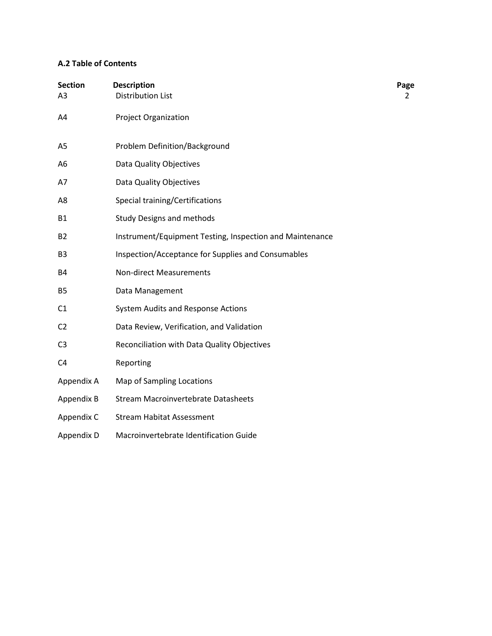# **A.2 Table of Contents**

| <b>Section</b><br>A <sub>3</sub> | <b>Description</b><br><b>Distribution List</b>           | Page<br>2 |
|----------------------------------|----------------------------------------------------------|-----------|
| A4                               | <b>Project Organization</b>                              |           |
| A <sub>5</sub>                   | Problem Definition/Background                            |           |
| A <sub>6</sub>                   | Data Quality Objectives                                  |           |
| A7                               | Data Quality Objectives                                  |           |
| A <sub>8</sub>                   | Special training/Certifications                          |           |
| <b>B1</b>                        | <b>Study Designs and methods</b>                         |           |
| <b>B2</b>                        | Instrument/Equipment Testing, Inspection and Maintenance |           |
| B <sub>3</sub>                   | Inspection/Acceptance for Supplies and Consumables       |           |
| <b>B4</b>                        | <b>Non-direct Measurements</b>                           |           |
| <b>B5</b>                        | Data Management                                          |           |
| C <sub>1</sub>                   | System Audits and Response Actions                       |           |
| C <sub>2</sub>                   | Data Review, Verification, and Validation                |           |
| C <sub>3</sub>                   | Reconciliation with Data Quality Objectives              |           |
| C <sub>4</sub>                   | Reporting                                                |           |
| Appendix A                       | Map of Sampling Locations                                |           |
| Appendix B                       | <b>Stream Macroinvertebrate Datasheets</b>               |           |
| Appendix C                       | <b>Stream Habitat Assessment</b>                         |           |
| Appendix D                       | Macroinvertebrate Identification Guide                   |           |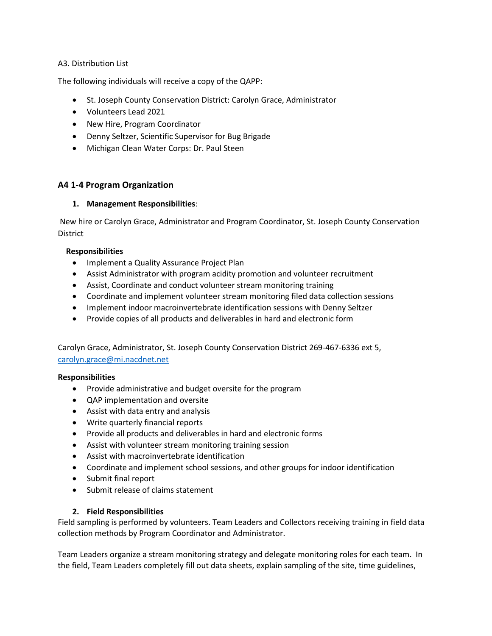### A3. Distribution List

The following individuals will receive a copy of the QAPP:

- St. Joseph County Conservation District: Carolyn Grace, Administrator
- Volunteers Lead 2021
- New Hire, Program Coordinator
- Denny Seltzer, Scientific Supervisor for Bug Brigade
- Michigan Clean Water Corps: Dr. Paul Steen

## **A4 1-4 Program Organization**

### **1. Management Responsibilities**:

New hire or Carolyn Grace, Administrator and Program Coordinator, St. Joseph County Conservation District

#### **Responsibilities**

- Implement a Quality Assurance Project Plan
- Assist Administrator with program acidity promotion and volunteer recruitment
- Assist, Coordinate and conduct volunteer stream monitoring training
- Coordinate and implement volunteer stream monitoring filed data collection sessions
- Implement indoor macroinvertebrate identification sessions with Denny Seltzer
- Provide copies of all products and deliverables in hard and electronic form

Carolyn Grace, Administrator, St. Joseph County Conservation District 269-467-6336 ext 5, [carolyn.grace@mi.nacdnet.net](mailto:carolyn.grace@mi.nacdnet.net) 

#### **Responsibilities**

- Provide administrative and budget oversite for the program
- QAP implementation and oversite
- Assist with data entry and analysis
- Write quarterly financial reports
- Provide all products and deliverables in hard and electronic forms
- Assist with volunteer stream monitoring training session
- Assist with macroinvertebrate identification
- Coordinate and implement school sessions, and other groups for indoor identification
- Submit final report
- Submit release of claims statement

#### **2. Field Responsibilities**

Field sampling is performed by volunteers. Team Leaders and Collectors receiving training in field data collection methods by Program Coordinator and Administrator.

Team Leaders organize a stream monitoring strategy and delegate monitoring roles for each team. In the field, Team Leaders completely fill out data sheets, explain sampling of the site, time guidelines,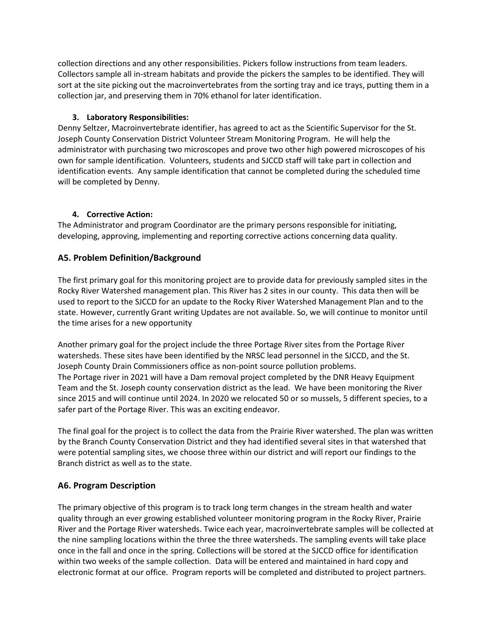collection directions and any other responsibilities. Pickers follow instructions from team leaders. Collectors sample all in-stream habitats and provide the pickers the samples to be identified. They will sort at the site picking out the macroinvertebrates from the sorting tray and ice trays, putting them in a collection jar, and preserving them in 70% ethanol for later identification.

## **3. Laboratory Responsibilities:**

Denny Seltzer, Macroinvertebrate identifier, has agreed to act as the Scientific Supervisor for the St. Joseph County Conservation District Volunteer Stream Monitoring Program. He will help the administrator with purchasing two microscopes and prove two other high powered microscopes of his own for sample identification. Volunteers, students and SJCCD staff will take part in collection and identification events. Any sample identification that cannot be completed during the scheduled time will be completed by Denny.

### **4. Corrective Action:**

The Administrator and program Coordinator are the primary persons responsible for initiating, developing, approving, implementing and reporting corrective actions concerning data quality.

# **A5. Problem Definition/Background**

The first primary goal for this monitoring project are to provide data for previously sampled sites in the Rocky River Watershed management plan. This River has 2 sites in our county. This data then will be used to report to the SJCCD for an update to the Rocky River Watershed Management Plan and to the state. However, currently Grant writing Updates are not available. So, we will continue to monitor until the time arises for a new opportunity

Another primary goal for the project include the three Portage River sites from the Portage River watersheds. These sites have been identified by the NRSC lead personnel in the SJCCD, and the St. Joseph County Drain Commissioners office as non-point source pollution problems. The Portage river in 2021 will have a Dam removal project completed by the DNR Heavy Equipment Team and the St. Joseph county conservation district as the lead. We have been monitoring the River since 2015 and will continue until 2024. In 2020 we relocated 50 or so mussels, 5 different species, to a safer part of the Portage River. This was an exciting endeavor.

The final goal for the project is to collect the data from the Prairie River watershed. The plan was written by the Branch County Conservation District and they had identified several sites in that watershed that were potential sampling sites, we choose three within our district and will report our findings to the Branch district as well as to the state.

## **A6. Program Description**

The primary objective of this program is to track long term changes in the stream health and water quality through an ever growing established volunteer monitoring program in the Rocky River, Prairie River and the Portage River watersheds. Twice each year, macroinvertebrate samples will be collected at the nine sampling locations within the three the three watersheds. The sampling events will take place once in the fall and once in the spring. Collections will be stored at the SJCCD office for identification within two weeks of the sample collection. Data will be entered and maintained in hard copy and electronic format at our office. Program reports will be completed and distributed to project partners.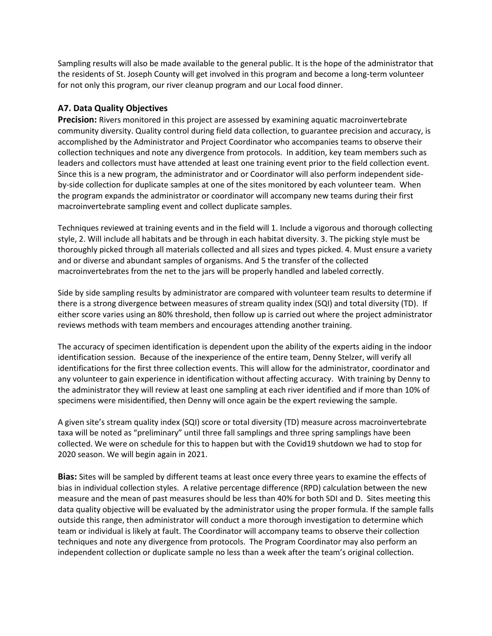Sampling results will also be made available to the general public. It is the hope of the administrator that the residents of St. Joseph County will get involved in this program and become a long-term volunteer for not only this program, our river cleanup program and our Local food dinner.

# **A7. Data Quality Objectives**

**Precision:** Rivers monitored in this project are assessed by examining aquatic macroinvertebrate community diversity. Quality control during field data collection, to guarantee precision and accuracy, is accomplished by the Administrator and Project Coordinator who accompanies teams to observe their collection techniques and note any divergence from protocols. In addition, key team members such as leaders and collectors must have attended at least one training event prior to the field collection event. Since this is a new program, the administrator and or Coordinator will also perform independent sideby-side collection for duplicate samples at one of the sites monitored by each volunteer team. When the program expands the administrator or coordinator will accompany new teams during their first macroinvertebrate sampling event and collect duplicate samples.

Techniques reviewed at training events and in the field will 1. Include a vigorous and thorough collecting style, 2. Will include all habitats and be through in each habitat diversity. 3. The picking style must be thoroughly picked through all materials collected and all sizes and types picked. 4. Must ensure a variety and or diverse and abundant samples of organisms. And 5 the transfer of the collected macroinvertebrates from the net to the jars will be properly handled and labeled correctly.

Side by side sampling results by administrator are compared with volunteer team results to determine if there is a strong divergence between measures of stream quality index (SQI) and total diversity (TD). If either score varies using an 80% threshold, then follow up is carried out where the project administrator reviews methods with team members and encourages attending another training.

The accuracy of specimen identification is dependent upon the ability of the experts aiding in the indoor identification session. Because of the inexperience of the entire team, Denny Stelzer, will verify all identifications for the first three collection events. This will allow for the administrator, coordinator and any volunteer to gain experience in identification without affecting accuracy. With training by Denny to the administrator they will review at least one sampling at each river identified and if more than 10% of specimens were misidentified, then Denny will once again be the expert reviewing the sample.

A given site's stream quality index (SQI) score or total diversity (TD) measure across macroinvertebrate taxa will be noted as "preliminary" until three fall samplings and three spring samplings have been collected. We were on schedule for this to happen but with the Covid19 shutdown we had to stop for 2020 season. We will begin again in 2021.

**Bias:** Sites will be sampled by different teams at least once every three years to examine the effects of bias in individual collection styles. A relative percentage difference (RPD) calculation between the new measure and the mean of past measures should be less than 40% for both SDI and D. Sites meeting this data quality objective will be evaluated by the administrator using the proper formula. If the sample falls outside this range, then administrator will conduct a more thorough investigation to determine which team or individual is likely at fault. The Coordinator will accompany teams to observe their collection techniques and note any divergence from protocols. The Program Coordinator may also perform an independent collection or duplicate sample no less than a week after the team's original collection.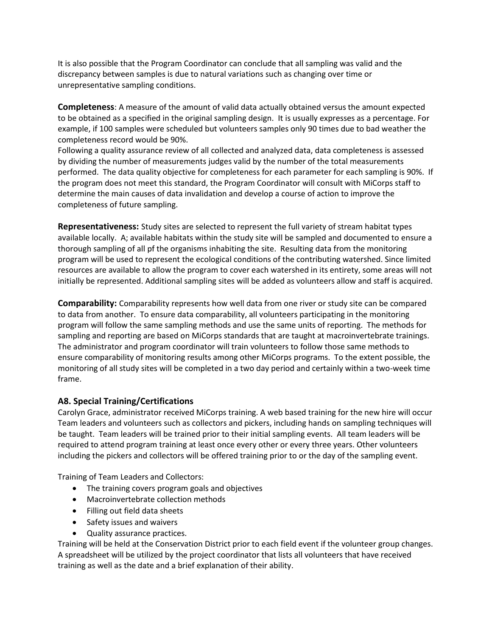It is also possible that the Program Coordinator can conclude that all sampling was valid and the discrepancy between samples is due to natural variations such as changing over time or unrepresentative sampling conditions.

**Completeness**: A measure of the amount of valid data actually obtained versus the amount expected to be obtained as a specified in the original sampling design. It is usually expresses as a percentage. For example, if 100 samples were scheduled but volunteers samples only 90 times due to bad weather the completeness record would be 90%.

Following a quality assurance review of all collected and analyzed data, data completeness is assessed by dividing the number of measurements judges valid by the number of the total measurements performed. The data quality objective for completeness for each parameter for each sampling is 90%. If the program does not meet this standard, the Program Coordinator will consult with MiCorps staff to determine the main causes of data invalidation and develop a course of action to improve the completeness of future sampling.

**Representativeness:** Study sites are selected to represent the full variety of stream habitat types available locally. A; available habitats within the study site will be sampled and documented to ensure a thorough sampling of all pf the organisms inhabiting the site. Resulting data from the monitoring program will be used to represent the ecological conditions of the contributing watershed. Since limited resources are available to allow the program to cover each watershed in its entirety, some areas will not initially be represented. Additional sampling sites will be added as volunteers allow and staff is acquired.

**Comparability:** Comparability represents how well data from one river or study site can be compared to data from another. To ensure data comparability, all volunteers participating in the monitoring program will follow the same sampling methods and use the same units of reporting. The methods for sampling and reporting are based on MiCorps standards that are taught at macroinvertebrate trainings. The administrator and program coordinator will train volunteers to follow those same methods to ensure comparability of monitoring results among other MiCorps programs. To the extent possible, the monitoring of all study sites will be completed in a two day period and certainly within a two-week time frame.

## **A8. Special Training/Certifications**

Carolyn Grace, administrator received MiCorps training. A web based training for the new hire will occur Team leaders and volunteers such as collectors and pickers, including hands on sampling techniques will be taught. Team leaders will be trained prior to their initial sampling events. All team leaders will be required to attend program training at least once every other or every three years. Other volunteers including the pickers and collectors will be offered training prior to or the day of the sampling event.

Training of Team Leaders and Collectors:

- The training covers program goals and objectives
- Macroinvertebrate collection methods
- Filling out field data sheets
- Safety issues and waivers
- Quality assurance practices.

Training will be held at the Conservation District prior to each field event if the volunteer group changes. A spreadsheet will be utilized by the project coordinator that lists all volunteers that have received training as well as the date and a brief explanation of their ability.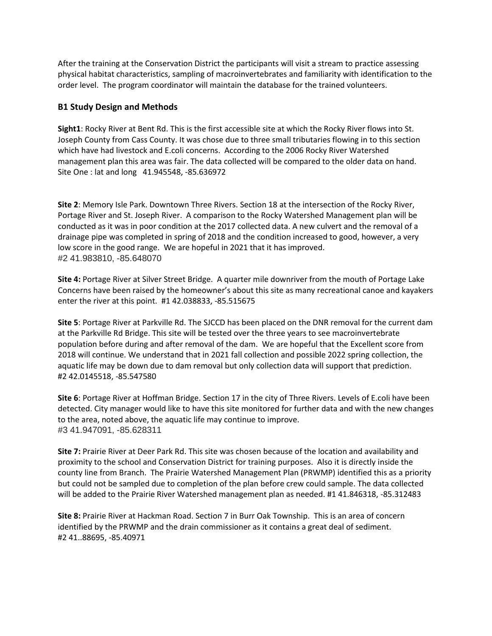After the training at the Conservation District the participants will visit a stream to practice assessing physical habitat characteristics, sampling of macroinvertebrates and familiarity with identification to the order level. The program coordinator will maintain the database for the trained volunteers.

### **B1 Study Design and Methods**

**Sight1**: Rocky River at Bent Rd. This is the first accessible site at which the Rocky River flows into St. Joseph County from Cass County. It was chose due to three small tributaries flowing in to this section which have had livestock and E.coli concerns. According to the 2006 Rocky River Watershed management plan this area was fair. The data collected will be compared to the older data on hand. Site One : lat and long 41.945548, -85.636972

**Site 2**: Memory Isle Park. Downtown Three Rivers. Section 18 at the intersection of the Rocky River, Portage River and St. Joseph River. A comparison to the Rocky Watershed Management plan will be conducted as it was in poor condition at the 2017 collected data. A new culvert and the removal of a drainage pipe was completed in spring of 2018 and the condition increased to good, however, a very low score in the good range. We are hopeful in 2021 that it has improved. #2 41.983810, -85.648070

**Site 4:** Portage River at Silver Street Bridge. A quarter mile downriver from the mouth of Portage Lake Concerns have been raised by the homeowner's about this site as many recreational canoe and kayakers enter the river at this point. #1 42.038833, -85.515675

**Site 5**: Portage River at Parkville Rd. The SJCCD has been placed on the DNR removal for the current dam at the Parkville Rd Bridge. This site will be tested over the three years to see macroinvertebrate population before during and after removal of the dam. We are hopeful that the Excellent score from 2018 will continue. We understand that in 2021 fall collection and possible 2022 spring collection, the aquatic life may be down due to dam removal but only collection data will support that prediction. #2 42.0145518, -85.547580

**Site 6**: Portage River at Hoffman Bridge. Section 17 in the city of Three Rivers. Levels of E.coli have been detected. City manager would like to have this site monitored for further data and with the new changes to the area, noted above, the aquatic life may continue to improve. #3 41.947091, -85.628311

**Site 7:** Prairie River at Deer Park Rd. This site was chosen because of the location and availability and proximity to the school and Conservation District for training purposes. Also it is directly inside the county line from Branch. The Prairie Watershed Management Plan (PRWMP) identified this as a priority but could not be sampled due to completion of the plan before crew could sample. The data collected will be added to the Prairie River Watershed management plan as needed. #1 41.846318, -85.312483

**Site 8:** Prairie River at Hackman Road. Section 7 in Burr Oak Township. This is an area of concern identified by the PRWMP and the drain commissioner as it contains a great deal of sediment. #2 41..88695, -85.40971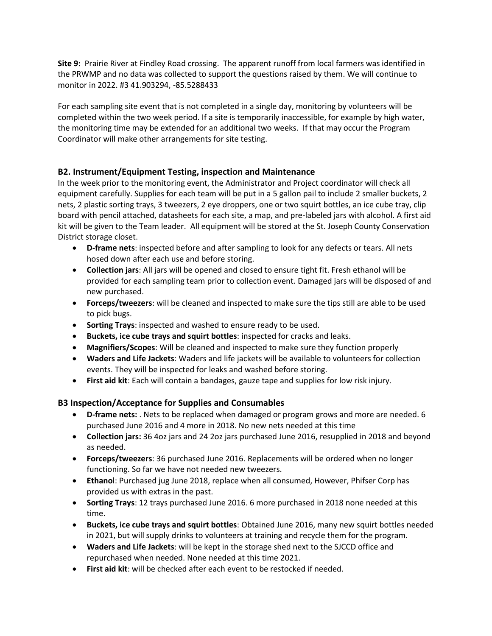**Site 9:** Prairie River at Findley Road crossing. The apparent runoff from local farmers was identified in the PRWMP and no data was collected to support the questions raised by them. We will continue to monitor in 2022. #3 41.903294, -85.5288433

For each sampling site event that is not completed in a single day, monitoring by volunteers will be completed within the two week period. If a site is temporarily inaccessible, for example by high water, the monitoring time may be extended for an additional two weeks. If that may occur the Program Coordinator will make other arrangements for site testing.

# **B2. Instrument/Equipment Testing, inspection and Maintenance**

In the week prior to the monitoring event, the Administrator and Project coordinator will check all equipment carefully. Supplies for each team will be put in a 5 gallon pail to include 2 smaller buckets, 2 nets, 2 plastic sorting trays, 3 tweezers, 2 eye droppers, one or two squirt bottles, an ice cube tray, clip board with pencil attached, datasheets for each site, a map, and pre-labeled jars with alcohol. A first aid kit will be given to the Team leader. All equipment will be stored at the St. Joseph County Conservation District storage closet.

- **D-frame nets**: inspected before and after sampling to look for any defects or tears. All nets hosed down after each use and before storing.
- **Collection jars**: All jars will be opened and closed to ensure tight fit. Fresh ethanol will be provided for each sampling team prior to collection event. Damaged jars will be disposed of and new purchased.
- **Forceps/tweezers**: will be cleaned and inspected to make sure the tips still are able to be used to pick bugs.
- **Sorting Trays**: inspected and washed to ensure ready to be used.
- **Buckets, ice cube trays and squirt bottles**: inspected for cracks and leaks.
- **Magnifiers/Scopes**: Will be cleaned and inspected to make sure they function properly
- **Waders and Life Jackets**: Waders and life jackets will be available to volunteers for collection events. They will be inspected for leaks and washed before storing.
- **First aid kit**: Each will contain a bandages, gauze tape and supplies for low risk injury.

# **B3 Inspection/Acceptance for Supplies and Consumables**

- **D-frame nets:** . Nets to be replaced when damaged or program grows and more are needed. 6 purchased June 2016 and 4 more in 2018. No new nets needed at this time
- **Collection jars:** 36 4oz jars and 24 2oz jars purchased June 2016, resupplied in 2018 and beyond as needed.
- **Forceps/tweezers**: 36 purchased June 2016. Replacements will be ordered when no longer functioning. So far we have not needed new tweezers.
- **Ethano**l: Purchased jug June 2018, replace when all consumed, However, Phifser Corp has provided us with extras in the past.
- **Sorting Trays**: 12 trays purchased June 2016. 6 more purchased in 2018 none needed at this time.
- **Buckets, ice cube trays and squirt bottles**: Obtained June 2016, many new squirt bottles needed in 2021, but will supply drinks to volunteers at training and recycle them for the program.
- **Waders and Life Jackets**: will be kept in the storage shed next to the SJCCD office and repurchased when needed. None needed at this time 2021.
- **First aid kit**: will be checked after each event to be restocked if needed.